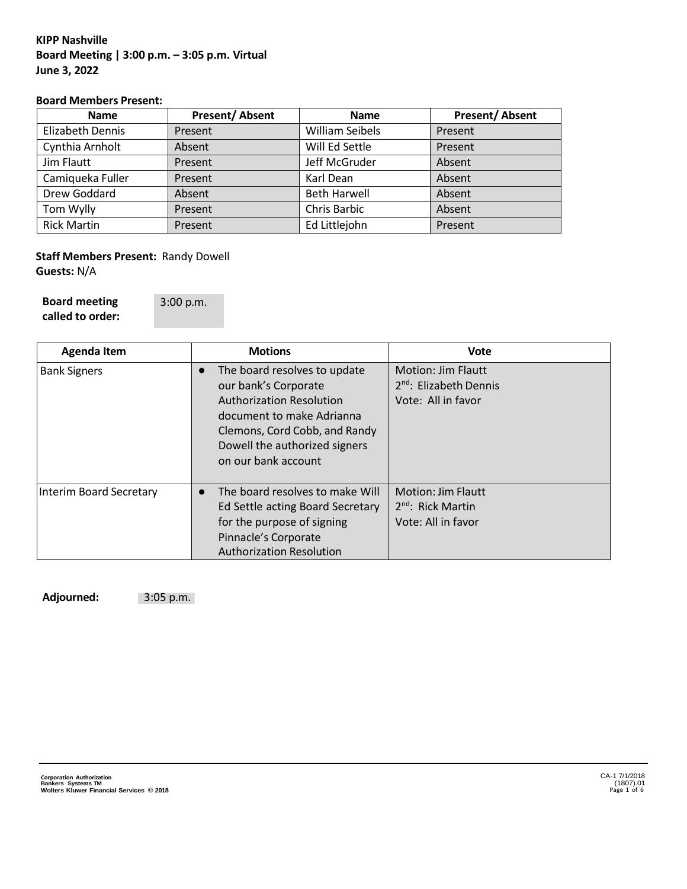# **KIPP Nashville Board Meeting | 3:00 p.m. – 3:05 p.m. Virtual June 3, 2022**

### **Board Members Present:**

| <b>Name</b>        | <b>Present/Absent</b> | <b>Name</b>            | <b>Present/Absent</b> |
|--------------------|-----------------------|------------------------|-----------------------|
| Elizabeth Dennis   | Present               | <b>William Seibels</b> | Present               |
| Cynthia Arnholt    | Absent                | Will Ed Settle         | Present               |
| Jim Flautt         | Present               | Jeff McGruder          | Absent                |
| Camiqueka Fuller   | Present               | Karl Dean              | Absent                |
| Drew Goddard       | Absent                | <b>Beth Harwell</b>    | Absent                |
| Tom Wylly          | Present               | <b>Chris Barbic</b>    | Absent                |
| <b>Rick Martin</b> | Present               | Ed Littlejohn          | Present               |

## **Staff Members Present:** Randy Dowell **Guests:** N/A

**Board meeting called to order:** 3:00 p.m.

| <b>Agenda Item</b>      | <b>Motions</b>                                                                                                                                                                                                             | Vote                                                                                  |
|-------------------------|----------------------------------------------------------------------------------------------------------------------------------------------------------------------------------------------------------------------------|---------------------------------------------------------------------------------------|
| <b>Bank Signers</b>     | The board resolves to update<br>$\bullet$<br>our bank's Corporate<br><b>Authorization Resolution</b><br>document to make Adrianna<br>Clemons, Cord Cobb, and Randy<br>Dowell the authorized signers<br>on our bank account | <b>Motion: Jim Flautt</b><br>2 <sup>nd</sup> : Elizabeth Dennis<br>Vote: All in favor |
| Interim Board Secretary | The board resolves to make Will<br>Ed Settle acting Board Secretary<br>for the purpose of signing<br>Pinnacle's Corporate<br><b>Authorization Resolution</b>                                                               | <b>Motion: Jim Flautt</b><br>$2nd$ : Rick Martin<br>Vote: All in favor                |

**Adjourned:** 3:05 p.m.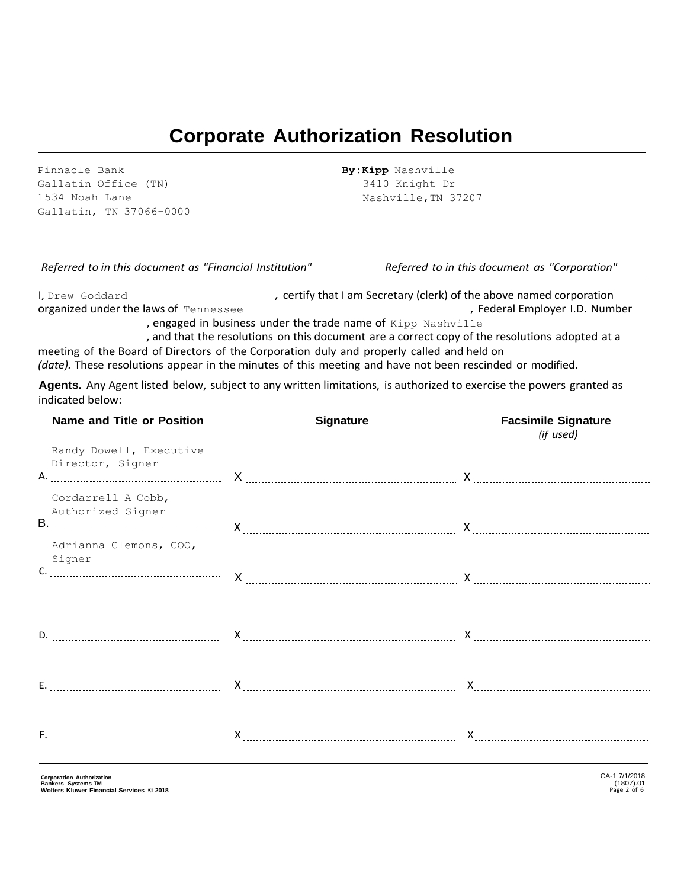# **Corporate Authorization Resolution**

Pinnacle Bank Gallatin Office (TN) 1534 Noah Lane Gallatin, TN 37066-0000 **By:Kipp** Nashville 3410 Knight Dr Nashville,TN 37207

I, Drew Goddard , certify that I am Secretary (clerk) of the above named corporation organized under the laws of Tennessee **and Employer I.D. Number** , Federal Employer I.D. Number

, engaged in business under the trade name of Kipp Nashville

, and that the resolutions on this document are a correct copy of the resolutions adopted at a meeting of the Board of Directors of the Corporation duly and properly called and held on

*(date).* These resolutions appear in the minutes of this meeting and have not been rescinded or modified.

**Agents.** Any Agent listed below, subject to any written limitations, is authorized to exercise the powers granted as indicated below:

|    | <b>Name and Title or Position</b>           | <b>Signature</b> | <b>Facsimile Signature</b><br>(if used) |
|----|---------------------------------------------|------------------|-----------------------------------------|
|    | Randy Dowell, Executive<br>Director, Signer |                  |                                         |
|    | Cordarrell A Cobb,<br>Authorized Signer     |                  |                                         |
|    | Adrianna Clemons, COO,<br>Signer            | $X$ $X$          |                                         |
|    |                                             |                  |                                         |
|    |                                             |                  |                                         |
| F. |                                             |                  |                                         |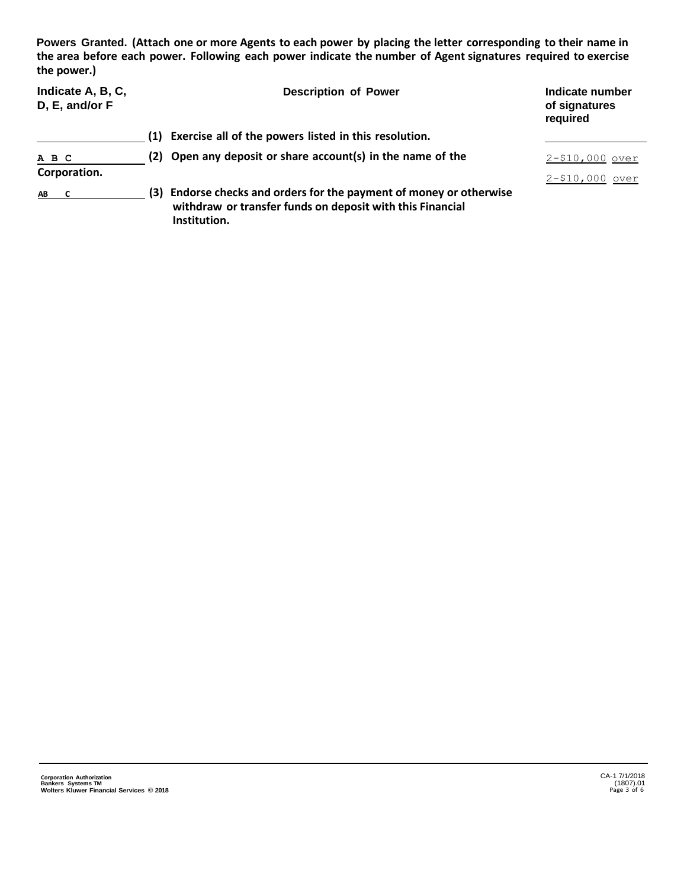**Powers Granted. (Attach one or more Agents to each power by placing the letter corresponding to their name in the area before each power. Following each power indicate the number of Agent signatures required to exercise the power.)**

| Indicate A, B, C,<br>D, E, and/or F | <b>Description of Power</b>                                                                                                                         | Indicate number<br>of signatures<br>required |
|-------------------------------------|-----------------------------------------------------------------------------------------------------------------------------------------------------|----------------------------------------------|
|                                     | Exercise all of the powers listed in this resolution.<br>(1)                                                                                        |                                              |
| A B C                               | (2) Open any deposit or share account(s) in the name of the                                                                                         | $2 - $10,000$ over                           |
| Corporation.                        |                                                                                                                                                     | $2 - $10,000$ over                           |
| AB.                                 | Endorse checks and orders for the payment of money or otherwise<br>(3)<br>withdraw or transfer funds on deposit with this Financial<br>Institution. |                                              |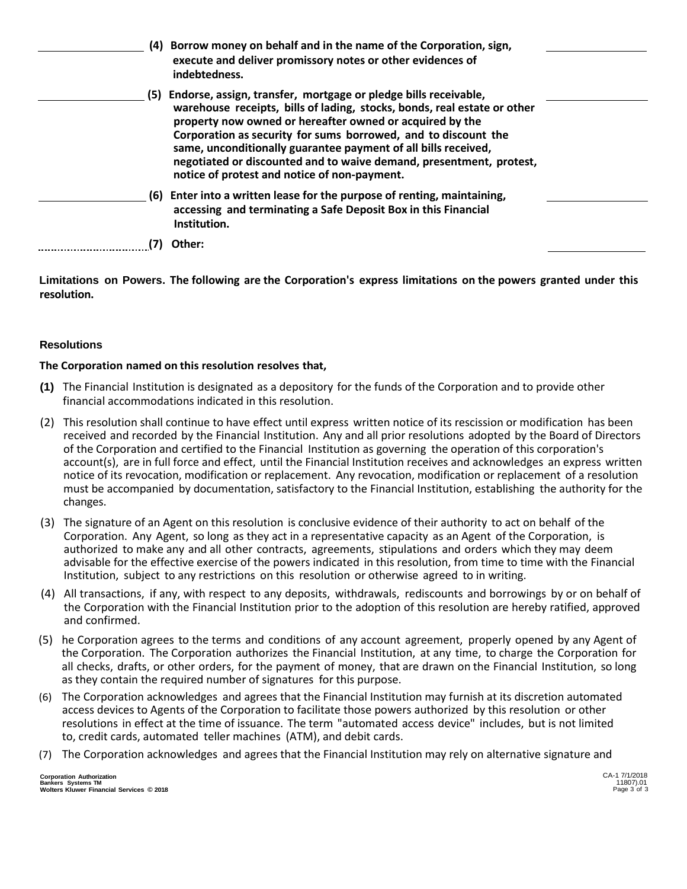| (4) | Borrow money on behalf and in the name of the Corporation, sign,<br>execute and deliver promissory notes or other evidences of<br>indebtedness.                                                                                                                                                                                                                                                                                                                        |  |
|-----|------------------------------------------------------------------------------------------------------------------------------------------------------------------------------------------------------------------------------------------------------------------------------------------------------------------------------------------------------------------------------------------------------------------------------------------------------------------------|--|
|     | (5) Endorse, assign, transfer, mortgage or pledge bills receivable,<br>warehouse receipts, bills of lading, stocks, bonds, real estate or other<br>property now owned or hereafter owned or acquired by the<br>Corporation as security for sums borrowed, and to discount the<br>same, unconditionally guarantee payment of all bills received,<br>negotiated or discounted and to waive demand, presentment, protest,<br>notice of protest and notice of non-payment. |  |
|     | (6) Enter into a written lease for the purpose of renting, maintaining,<br>accessing and terminating a Safe Deposit Box in this Financial<br>Institution.                                                                                                                                                                                                                                                                                                              |  |
|     | Other:                                                                                                                                                                                                                                                                                                                                                                                                                                                                 |  |

**Limitations on Powers. The following are the Corporation's express limitations on the powers granted under this resolution.**

### **Resolutions**

### **The Corporation named on this resolution resolves that,**

- **(1)** The Financial Institution is designated as a depository for the funds of the Corporation and to provide other financial accommodations indicated in this resolution.
- (2) This resolution shall continue to have effect until express written notice of its rescission or modification has been received and recorded by the Financial Institution. Any and all prior resolutions adopted by the Board of Directors of the Corporation and certified to the Financial Institution as governing the operation of this corporation's account(s), are in full force and effect, until the Financial Institution receives and acknowledges an express written notice of its revocation, modification or replacement. Any revocation, modification or replacement of a resolution must be accompanied by documentation, satisfactory to the Financial Institution, establishing the authority for the changes.
- (3) The signature of an Agent on this resolution is conclusive evidence of their authority to act on behalf of the Corporation. Any Agent, so long as they act in a representative capacity as an Agent of the Corporation, is authorized to make any and all other contracts, agreements, stipulations and orders which they may deem advisable for the effective exercise of the powers indicated in this resolution, from time to time with the Financial Institution, subject to any restrictions on this resolution or otherwise agreed to in writing.
- (4) All transactions, if any, with respect to any deposits, withdrawals, rediscounts and borrowings by or on behalf of the Corporation with the Financial Institution prior to the adoption of this resolution are hereby ratified, approved and confirmed.
- (5) he Corporation agrees to the terms and conditions of any account agreement, properly opened by any Agent of the Corporation. The Corporation authorizes the Financial Institution, at any time, to charge the Corporation for all checks, drafts, or other orders, for the payment of money, that are drawn on the Financial Institution, so long as they contain the required number of signatures for this purpose.
- (6) The Corporation acknowledges and agrees that the Financial Institution may furnish at its discretion automated access devices to Agents of the Corporation to facilitate those powers authorized by this resolution or other resolutions in effect at the time of issuance. The term "automated access device" includes, but is not limited to, credit cards, automated teller machines (ATM), and debit cards.
- (7) The Corporation acknowledges and agrees that the Financial Institution may rely on alternative signature and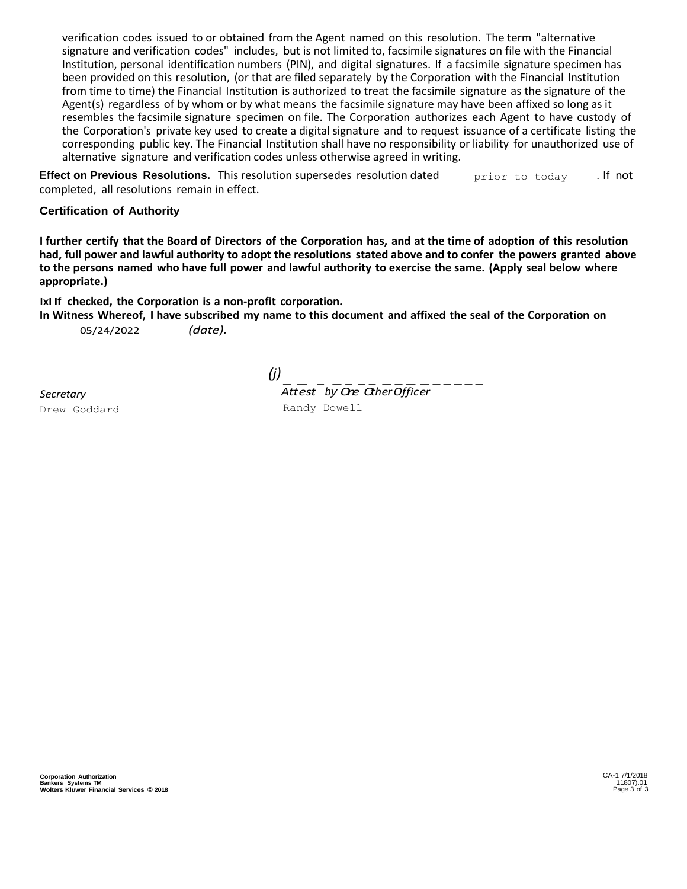verification codes issued to or obtained from the Agent named on this resolution. The term "alternative signature and verification codes" includes, but is not limited to, facsimile signatures on file with the Financial Institution, personal identification numbers (PIN), and digital signatures. If a facsimile signature specimen has been provided on this resolution, (or that are filed separately by the Corporation with the Financial Institution from time to time) the Financial Institution is authorized to treat the facsimile signature as the signature of the Agent(s) regardless of by whom or by what means the facsimile signature may have been affixed so long as it resembles the facsimile signature specimen on file. The Corporation authorizes each Agent to have custody of the Corporation's private key used to create a digital signature and to request issuance of a certificate listing the corresponding public key. The Financial Institution shall have no responsibility or liability for unauthorized use of alternative signature and verification codes unless otherwise agreed in writing.

**Effect on Previous Resolutions.** This resolution supersedes resolution dated completed, all resolutions remain in effect. prior to today . If not

### **Certification of Authority**

**I further certify that the Board of Directors of the Corporation has, and at the time of adoption of this resolution had, full power and lawful authority to adopt the resolutions stated above and to confer the powers granted above to the persons named who have full power and lawful authority to exercise the same. (Apply seal below where appropriate.)**

**lxl If checked, the Corporation is a non-profit corporation.**

In Witness Whereof, I have subscribed my name to this document and affixed the seal of the Corporation on 05/24/2022 *(date).*

*Secretary* Drew Goddard

*(j)*

- *Att* - *est* - *b* - *y O* - *ne* - *O* - *th* - *er* - *Of* - *fic* - *er* ----- Randy Dowell